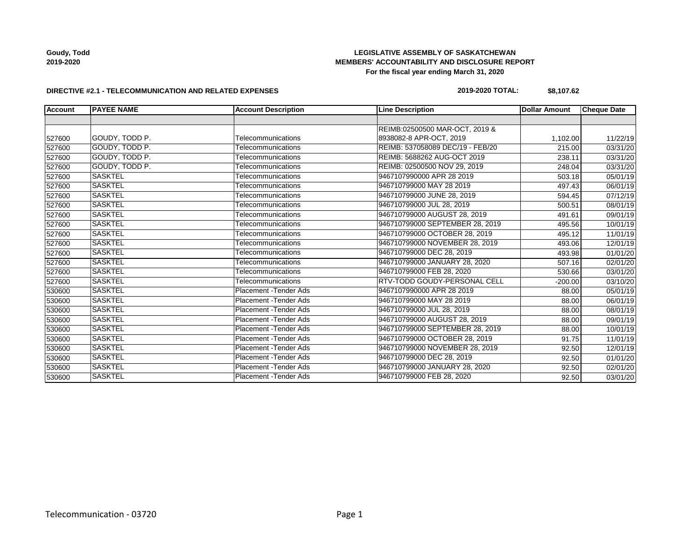**Goudy, Todd 2019-2020**

### **LEGISLATIVE ASSEMBLY OF SASKATCHEWAN MEMBERS' ACCOUNTABILITY AND DISCLOSURE REPORT For the fiscal year ending March 31, 2020**

#### **DIRECTIVE #2.1 - TELECOMMUNICATION AND RELATED EXPENSES**

### **2019-2020 TOTAL: \$8,107.62**

| <b>Account</b> | <b>PAYEE NAME</b> | <b>Account Description</b>    | <b>Line Description</b>          | <b>Dollar Amount</b> | <b>Cheque Date</b>    |
|----------------|-------------------|-------------------------------|----------------------------------|----------------------|-----------------------|
|                |                   |                               |                                  |                      |                       |
|                |                   |                               | REIMB:02500500 MAR-OCT, 2019 &   |                      |                       |
| 527600         | GOUDY, TODD P.    | Telecommunications            | 8938082-8 APR-OCT, 2019          | 1,102.00             | 11/22/19              |
| 527600         | GOUDY, TODD P.    | Telecommunications            | REIMB: 537058089 DEC/19 - FEB/20 | 215.00               | 03/31/20              |
| 527600         | GOUDY, TODD P.    | Telecommunications            | REIMB: 5688262 AUG-OCT 2019      | 238.11               | 03/31/20              |
| 527600         | GOUDY, TODD P.    | Telecommunications            | REIMB: 02500500 NOV 29, 2019     | 248.04               | 03/31/20              |
| 527600         | <b>SASKTEL</b>    | Telecommunications            | 9467107990000 APR 28 2019        | 503.18               | 05/01/19              |
| 527600         | <b>SASKTEL</b>    | Telecommunications            | 946710799000 MAY 28 2019         | 497.43               | 06/01/19              |
| 527600         | <b>SASKTEL</b>    | Telecommunications            | 946710799000 JUNE 28, 2019       | 594.45               | 07/12/19              |
| 527600         | <b>SASKTEL</b>    | Telecommunications            | 946710799000 JUL 28, 2019        | 500.51               | 08/01/19              |
| 527600         | <b>SASKTEL</b>    | Telecommunications            | 946710799000 AUGUST 28, 2019     | 491.61               | $\overline{09}/01/19$ |
| 527600         | <b>SASKTEL</b>    | Telecommunications            | 946710799000 SEPTEMBER 28, 2019  | 495.56               | 10/01/19              |
| 527600         | <b>SASKTEL</b>    | Telecommunications            | 946710799000 OCTOBER 28, 2019    | 495.12               | 11/01/19              |
| 527600         | <b>SASKTEL</b>    | Telecommunications            | 946710799000 NOVEMBER 28, 2019   | 493.06               | 12/01/19              |
| 527600         | <b>SASKTEL</b>    | Telecommunications            | 946710799000 DEC 28, 2019        | 493.98               | 01/01/20              |
| 527600         | <b>SASKTEL</b>    | Telecommunications            | 946710799000 JANUARY 28, 2020    | 507.16               | 02/01/20              |
| 527600         | <b>SASKTEL</b>    | Telecommunications            | 946710799000 FEB 28, 2020        | 530.66               | 03/01/20              |
| 527600         | <b>SASKTEL</b>    | Telecommunications            | RTV-TODD GOUDY-PERSONAL CELL     | $-200.00$            | 03/10/20              |
| 530600         | <b>SASKTEL</b>    | <b>Placement - Tender Ads</b> | 9467107990000 APR 28 2019        | 88.00                | 05/01/19              |
| 530600         | <b>SASKTEL</b>    | <b>Placement - Tender Ads</b> | 946710799000 MAY 28 2019         | 88.00                | 06/01/19              |
| 530600         | <b>SASKTEL</b>    | <b>Placement - Tender Ads</b> | 946710799000 JUL 28, 2019        | 88.00                | 08/01/19              |
| 530600         | <b>SASKTEL</b>    | Placement - Tender Ads        | 946710799000 AUGUST 28, 2019     | 88.00                | 09/01/19              |
| 530600         | <b>SASKTEL</b>    | Placement - Tender Ads        | 946710799000 SEPTEMBER 28, 2019  | 88.00                | 10/01/19              |
| 530600         | <b>SASKTEL</b>    | <b>Placement - Tender Ads</b> | 946710799000 OCTOBER 28, 2019    | 91.75                | 11/01/19              |
| 530600         | <b>SASKTEL</b>    | Placement - Tender Ads        | 946710799000 NOVEMBER 28, 2019   | 92.50                | 12/01/19              |
| 530600         | <b>SASKTEL</b>    | Placement - Tender Ads        | 946710799000 DEC 28, 2019        | 92.50                | 01/01/20              |
| 530600         | <b>SASKTEL</b>    | Placement - Tender Ads        | 946710799000 JANUARY 28, 2020    | 92.50                | 02/01/20              |
| 530600         | <b>SASKTEL</b>    | Placement - Tender Ads        | 946710799000 FEB 28, 2020        | 92.50                | 03/01/20              |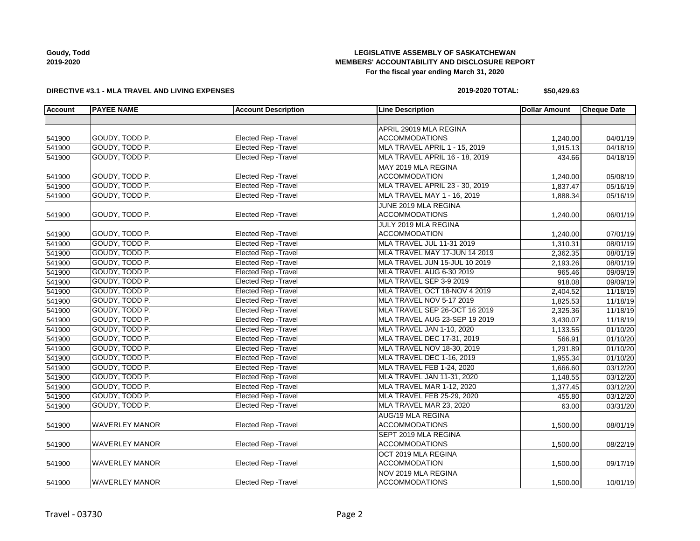| Goudy, Todd |  |
|-------------|--|
| 2019-2020   |  |

### **LEGISLATIVE ASSEMBLY OF SASKATCHEWAN MEMBERS' ACCOUNTABILITY AND DISCLOSURE REPORT For the fiscal year ending March 31, 2020**

#### **DIRECTIVE #3.1 - MLA TRAVEL AND LIVING EXPENSES**

# **2019-2020 TOTAL: \$50,429.63**

| Account | <b>PAYEE NAME</b>     | <b>Account Description</b>  | <b>Line Description</b>        | <b>Dollar Amount</b> | <b>Cheque Date</b> |
|---------|-----------------------|-----------------------------|--------------------------------|----------------------|--------------------|
|         |                       |                             |                                |                      |                    |
|         |                       |                             | APRIL 29019 MLA REGINA         |                      |                    |
| 541900  | GOUDY, TODD P.        | Elected Rep - Travel        | <b>ACCOMMODATIONS</b>          | 1,240.00             | 04/01/19           |
| 541900  | GOUDY, TODD P.        | <b>Elected Rep - Travel</b> | MLA TRAVEL APRIL 1 - 15, 2019  | 1,915.13             | 04/18/19           |
| 541900  | GOUDY, TODD P.        | <b>Elected Rep - Travel</b> | MLA TRAVEL APRIL 16 - 18, 2019 | 434.66               | 04/18/19           |
|         |                       |                             | MAY 2019 MLA REGINA            |                      |                    |
| 541900  | GOUDY, TODD P.        | Elected Rep - Travel        | <b>ACCOMMODATION</b>           | 1,240.00             | 05/08/19           |
| 541900  | GOUDY, TODD P.        | <b>Elected Rep - Travel</b> | MLA TRAVEL APRIL 23 - 30, 2019 | 1,837.47             | 05/16/19           |
| 541900  | GOUDY, TODD P.        | <b>Elected Rep - Travel</b> | MLA TRAVEL MAY 1 - 16, 2019    | 1,888.34             | 05/16/19           |
|         |                       |                             | JUNE 2019 MLA REGINA           |                      |                    |
| 541900  | GOUDY, TODD P.        | Elected Rep - Travel        | <b>ACCOMMODATIONS</b>          | 1,240.00             | 06/01/19           |
|         |                       |                             | JULY 2019 MLA REGINA           |                      |                    |
| 541900  | GOUDY, TODD P.        | Elected Rep - Travel        | <b>ACCOMMODATION</b>           | 1,240.00             | 07/01/19           |
| 541900  | GOUDY, TODD P.        | <b>Elected Rep - Travel</b> | MLA TRAVEL JUL 11-31 2019      | 1,310.31             | 08/01/19           |
| 541900  | GOUDY, TODD P.        | <b>Elected Rep - Travel</b> | MLA TRAVEL MAY 17-JUN 14 2019  | 2,362.35             | 08/01/19           |
| 541900  | GOUDY, TODD P.        | <b>Elected Rep - Travel</b> | MLA TRAVEL JUN 15-JUL 10 2019  | 2,193.26             | 08/01/19           |
| 541900  | GOUDY, TODD P.        | <b>Elected Rep - Travel</b> | MLA TRAVEL AUG 6-30 2019       | 965.46               | 09/09/19           |
| 541900  | GOUDY, TODD P.        | <b>Elected Rep - Travel</b> | MLA TRAVEL SEP 3-9 2019        | 918.08               | 09/09/19           |
| 541900  | GOUDY, TODD P.        | <b>Elected Rep - Travel</b> | MLA TRAVEL OCT 18-NOV 4 2019   | 2,404.52             | 11/18/19           |
| 541900  | GOUDY, TODD P.        | <b>Elected Rep - Travel</b> | MLA TRAVEL NOV 5-17 2019       | 1,825.53             | 11/18/19           |
| 541900  | GOUDY, TODD P.        | <b>Elected Rep - Travel</b> | MLA TRAVEL SEP 26-OCT 16 2019  | 2,325.36             | 11/18/19           |
| 541900  | GOUDY, TODD P.        | <b>Elected Rep - Travel</b> | MLA TRAVEL AUG 23-SEP 19 2019  | 3,430.07             | 11/18/19           |
| 541900  | GOUDY, TODD P.        | <b>Elected Rep - Travel</b> | MLA TRAVEL JAN 1-10, 2020      | 1,133.55             | 01/10/20           |
| 541900  | GOUDY, TODD P.        | <b>Elected Rep - Travel</b> | MLA TRAVEL DEC 17-31, 2019     | 566.91               | 01/10/20           |
| 541900  | GOUDY, TODD P.        | <b>Elected Rep - Travel</b> | MLA TRAVEL NOV 18-30, 2019     | 1,291.89             | 01/10/20           |
| 541900  | GOUDY, TODD P.        | <b>Elected Rep - Travel</b> | MLA TRAVEL DEC 1-16, 2019      | 1,955.34             | 01/10/20           |
| 541900  | GOUDY, TODD P.        | <b>Elected Rep - Travel</b> | MLA TRAVEL FEB 1-24, 2020      | 1,666.60             | 03/12/20           |
| 541900  | GOUDY, TODD P.        | Elected Rep - Travel        | MLA TRAVEL JAN 11-31, 2020     | 1,148.55             | 03/12/20           |
| 541900  | GOUDY, TODD P.        | <b>Elected Rep - Travel</b> | MLA TRAVEL MAR 1-12, 2020      | 1,377.45             | 03/12/20           |
| 541900  | GOUDY, TODD P.        | <b>Elected Rep - Travel</b> | MLA TRAVEL FEB 25-29, 2020     | 455.80               | 03/12/20           |
| 541900  | GOUDY, TODD P.        | <b>Elected Rep - Travel</b> | MLA TRAVEL MAR 23, 2020        | 63.00                | 03/31/20           |
|         |                       |                             | AUG/19 MLA REGINA              |                      |                    |
| 541900  | <b>WAVERLEY MANOR</b> | Elected Rep - Travel        | <b>ACCOMMODATIONS</b>          | 1,500.00             | 08/01/19           |
|         |                       |                             | SEPT 2019 MLA REGINA           |                      |                    |
| 541900  | <b>WAVERLEY MANOR</b> | Elected Rep - Travel        | <b>ACCOMMODATIONS</b>          | 1,500.00             | 08/22/19           |
|         |                       |                             | OCT 2019 MLA REGINA            |                      |                    |
| 541900  | <b>WAVERLEY MANOR</b> | Elected Rep - Travel        | ACCOMMODATION                  | 1,500.00             | 09/17/19           |
|         |                       |                             | NOV 2019 MLA REGINA            |                      |                    |
| 541900  | <b>WAVERLEY MANOR</b> | Elected Rep - Travel        | <b>ACCOMMODATIONS</b>          | 1,500.00             | 10/01/19           |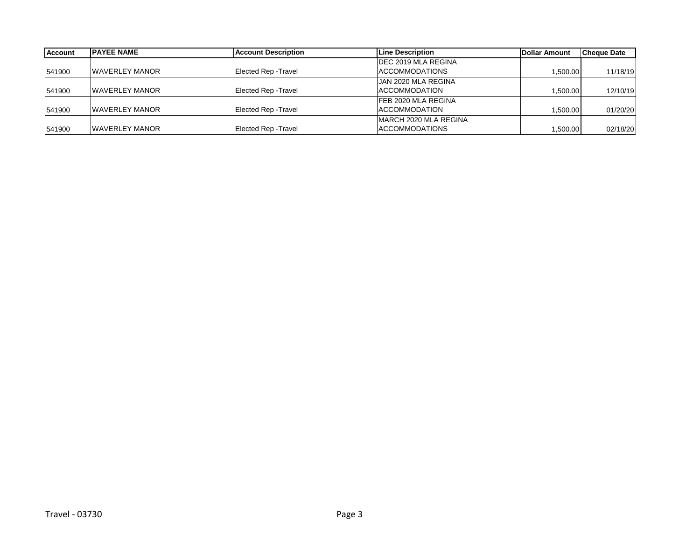| Account | <b>IPAYEE NAME</b>    | <b>Account Description</b>  | <b>Line Description</b>     | Dollar Amount | <b>Cheque Date</b> |
|---------|-----------------------|-----------------------------|-----------------------------|---------------|--------------------|
|         |                       |                             | <b>IDEC 2019 MLA REGINA</b> |               |                    |
| 541900  | <b>WAVERLEY MANOR</b> | Elected Rep - Travel        | <b>ACCOMMODATIONS</b>       | ا00.00.00 ا   | 11/18/19           |
|         |                       |                             | JAN 2020 MLA REGINA         |               |                    |
| 541900  | <b>WAVERLEY MANOR</b> | <b>Elected Rep - Travel</b> | <b>ACCOMMODATION</b>        | ا00.00.00 ا   | 12/10/19           |
|         |                       |                             | IFEB 2020 MLA REGINA        |               |                    |
| 541900  | <b>WAVERLEY MANOR</b> | <b>Elected Rep - Travel</b> | <b>ACCOMMODATION</b>        | 500.00, ا     | 01/20/20           |
|         |                       |                             | MARCH 2020 MLA REGINA       |               |                    |
| 541900  | <b>WAVERLEY MANOR</b> | Elected Rep - Travel        | <b>ACCOMMODATIONS</b>       | ا00.00.00 ا   | 02/18/20           |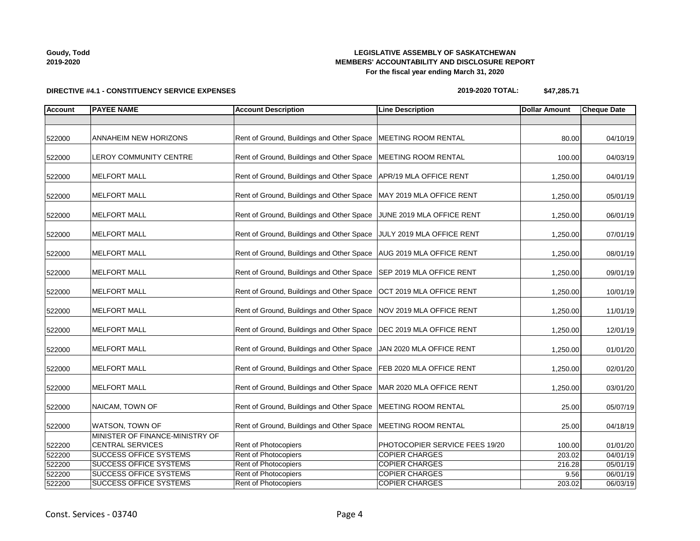| Goudy, Todd |  |
|-------------|--|
| 2019-2020   |  |

### **LEGISLATIVE ASSEMBLY OF SASKATCHEWAN MEMBERS' ACCOUNTABILITY AND DISCLOSURE REPORT For the fiscal year ending March 31, 2020**

## **DIRECTIVE #4.1 - CONSTITUENCY SERVICE EXPENSES**

# **2019-2020 TOTAL: \$47,285.71**

| <b>Account</b> | <b>PAYEE NAME</b>                                          | <b>Account Description</b>                                           | <b>Line Description</b>        | <b>Dollar Amount</b> | <b>Cheque Date</b> |
|----------------|------------------------------------------------------------|----------------------------------------------------------------------|--------------------------------|----------------------|--------------------|
|                |                                                            |                                                                      |                                |                      |                    |
| 522000         | ANNAHEIM NEW HORIZONS                                      | Rent of Ground, Buildings and Other Space   MEETING ROOM RENTAL      |                                | 80.00                | 04/10/19           |
| 522000         | LEROY COMMUNITY CENTRE                                     | Rent of Ground, Buildings and Other Space                            | <b>IMEETING ROOM RENTAL</b>    | 100.00               | 04/03/19           |
| 522000         | <b>MELFORT MALL</b>                                        | Rent of Ground, Buildings and Other Space   APR/19 MLA OFFICE RENT   |                                | 1,250.00             | 04/01/19           |
| 522000         | <b>MELFORT MALL</b>                                        | Rent of Ground, Buildings and Other Space   MAY 2019 MLA OFFICE RENT |                                | 1,250.00             | 05/01/19           |
| 522000         | <b>MELFORT MALL</b>                                        | Rent of Ground, Buildings and Other Space                            | JUNE 2019 MLA OFFICE RENT      | 1,250.00             | 06/01/19           |
| 522000         | <b>MELFORT MALL</b>                                        | Rent of Ground, Buildings and Other Space JULY 2019 MLA OFFICE RENT  |                                | 1,250.00             | 07/01/19           |
| 522000         | <b>MELFORT MALL</b>                                        | Rent of Ground, Buildings and Other Space   AUG 2019 MLA OFFICE RENT |                                | 1,250.00             | 08/01/19           |
| 522000         | <b>MELFORT MALL</b>                                        | Rent of Ground, Buildings and Other Space SEP 2019 MLA OFFICE RENT   |                                | 1,250.00             | 09/01/19           |
| 522000         | <b>MELFORT MALL</b>                                        | Rent of Ground, Buildings and Other Space   OCT 2019 MLA OFFICE RENT |                                | 1,250.00             | 10/01/19           |
| 522000         | <b>MELFORT MALL</b>                                        | Rent of Ground, Buildings and Other Space   NOV 2019 MLA OFFICE RENT |                                | 1,250.00             | 11/01/19           |
| 522000         | <b>MELFORT MALL</b>                                        | Rent of Ground, Buildings and Other Space   DEC 2019 MLA OFFICE RENT |                                | 1,250.00             | 12/01/19           |
| 522000         | <b>MELFORT MALL</b>                                        | Rent of Ground, Buildings and Other Space JJAN 2020 MLA OFFICE RENT  |                                | 1,250.00             | 01/01/20           |
| 522000         | <b>MELFORT MALL</b>                                        | Rent of Ground, Buildings and Other Space   FEB 2020 MLA OFFICE RENT |                                | 1,250.00             | 02/01/20           |
| 522000         | <b>MELFORT MALL</b>                                        | Rent of Ground, Buildings and Other Space   MAR 2020 MLA OFFICE RENT |                                | 1,250.00             | 03/01/20           |
| 522000         | NAICAM, TOWN OF                                            | Rent of Ground, Buildings and Other Space   MEETING ROOM RENTAL      |                                | 25.00                | 05/07/19           |
| 522000         | WATSON, TOWN OF                                            | Rent of Ground, Buildings and Other Space                            | MEETING ROOM RENTAL            | 25.00                | 04/18/19           |
| 522200         | MINISTER OF FINANCE-MINISTRY OF<br><b>CENTRAL SERVICES</b> | <b>Rent of Photocopiers</b>                                          | PHOTOCOPIER SERVICE FEES 19/20 | 100.00               | 01/01/20           |
| 522200         | <b>SUCCESS OFFICE SYSTEMS</b>                              | <b>Rent of Photocopiers</b>                                          | <b>COPIER CHARGES</b>          | 203.02               | 04/01/19           |
| 522200         | <b>SUCCESS OFFICE SYSTEMS</b>                              | Rent of Photocopiers                                                 | <b>COPIER CHARGES</b>          | 216.28               | 05/01/19           |
| 522200         | <b>SUCCESS OFFICE SYSTEMS</b>                              | <b>Rent of Photocopiers</b>                                          | <b>COPIER CHARGES</b>          | 9.56                 | 06/01/19           |
| 522200         | SUCCESS OFFICE SYSTEMS                                     | <b>Rent of Photocopiers</b>                                          | <b>COPIER CHARGES</b>          | 203.02               | 06/03/19           |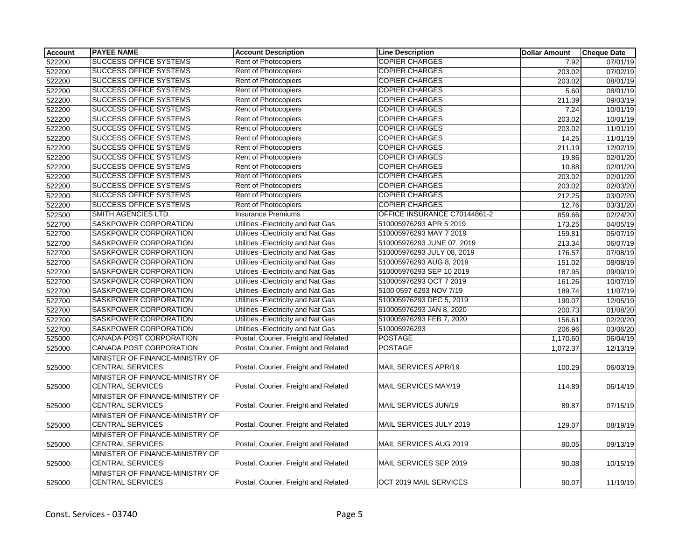| <b>Account</b> | <b>PAYEE NAME</b>               | <b>Account Description</b>           | <b>Line Description</b>      | <b>Dollar Amount</b> | <b>Cheque Date</b> |
|----------------|---------------------------------|--------------------------------------|------------------------------|----------------------|--------------------|
| 522200         | <b>SUCCESS OFFICE SYSTEMS</b>   | Rent of Photocopiers                 | <b>COPIER CHARGES</b>        | 7.92                 | 07/01/19           |
| 522200         | <b>SUCCESS OFFICE SYSTEMS</b>   | <b>Rent of Photocopiers</b>          | <b>COPIER CHARGES</b>        | 203.02               | 07/02/19           |
| 522200         | SUCCESS OFFICE SYSTEMS          | Rent of Photocopiers                 | <b>COPIER CHARGES</b>        | 203.02               | 08/01/19           |
| 522200         | SUCCESS OFFICE SYSTEMS          | Rent of Photocopiers                 | <b>COPIER CHARGES</b>        | 5.60                 | 08/01/19           |
| 522200         | SUCCESS OFFICE SYSTEMS          | <b>Rent of Photocopiers</b>          | <b>COPIER CHARGES</b>        | 211.39               | 09/03/19           |
| 522200         | <b>SUCCESS OFFICE SYSTEMS</b>   | Rent of Photocopiers                 | <b>COPIER CHARGES</b>        | 7.24                 | 10/01/19           |
| 522200         | SUCCESS OFFICE SYSTEMS          | <b>Rent of Photocopiers</b>          | <b>COPIER CHARGES</b>        | 203.02               | 10/01/19           |
| 522200         | <b>SUCCESS OFFICE SYSTEMS</b>   | Rent of Photocopiers                 | <b>COPIER CHARGES</b>        | 203.02               | 11/01/19           |
| 522200         | <b>SUCCESS OFFICE SYSTEMS</b>   | Rent of Photocopiers                 | <b>COPIER CHARGES</b>        | 14.25                | 11/01/19           |
| 522200         | <b>SUCCESS OFFICE SYSTEMS</b>   | Rent of Photocopiers                 | <b>COPIER CHARGES</b>        | 211.19               | 12/02/19           |
| 522200         | <b>SUCCESS OFFICE SYSTEMS</b>   | <b>Rent of Photocopiers</b>          | <b>COPIER CHARGES</b>        | 19.86                | 02/01/20           |
| 522200         | SUCCESS OFFICE SYSTEMS          | Rent of Photocopiers                 | <b>COPIER CHARGES</b>        | 10.88                | 02/01/20           |
| 522200         | SUCCESS OFFICE SYSTEMS          | Rent of Photocopiers                 | <b>COPIER CHARGES</b>        | 203.02               | 02/01/20           |
| 522200         | <b>SUCCESS OFFICE SYSTEMS</b>   | Rent of Photocopiers                 | <b>COPIER CHARGES</b>        | 203.02               | 02/03/20           |
| 522200         | <b>SUCCESS OFFICE SYSTEMS</b>   | <b>Rent of Photocopiers</b>          | <b>COPIER CHARGES</b>        | 212.25               | 03/02/20           |
| 522200         | <b>SUCCESS OFFICE SYSTEMS</b>   | <b>Rent of Photocopiers</b>          | <b>COPIER CHARGES</b>        | 12.76                | 03/31/20           |
| 522500         | SMITH AGENCIES LTD.             | <b>Insurance Premiums</b>            | OFFICE INSURANCE C70144861-2 | 859.66               | 02/24/20           |
| 522700         | SASKPOWER CORPORATION           | Utilities - Electricity and Nat Gas  | 510005976293 APR 5 2019      | 173.25               | 04/05/19           |
| 522700         | SASKPOWER CORPORATION           | Utilities - Electricity and Nat Gas  | 510005976293 MAY 7 2019      | 159.81               | 05/07/19           |
| 522700         | SASKPOWER CORPORATION           | Utilities - Electricity and Nat Gas  | 510005976293 JUNE 07, 2019   | 213.34               | 06/07/19           |
| 522700         | SASKPOWER CORPORATION           | Utilities - Electricity and Nat Gas  | 510005976293 JULY 08, 2019   | 176.57               | 07/08/19           |
| 522700         | SASKPOWER CORPORATION           | Utilities - Electricity and Nat Gas  | 510005976293 AUG 8, 2019     | 151.02               | 08/08/19           |
| 522700         | SASKPOWER CORPORATION           | Utilities - Electricity and Nat Gas  | 510005976293 SEP 10 2019     | 187.95               | 09/09/19           |
| 522700         | SASKPOWER CORPORATION           | Utilities - Electricity and Nat Gas  | 510005976293 OCT 7 2019      | 161.26               | 10/07/19           |
| 522700         | SASKPOWER CORPORATION           | Utilities - Electricity and Nat Gas  | 5100 0597 6293 NOV 7/19      | 189.74               | 11/07/19           |
| 522700         | SASKPOWER CORPORATION           | Utilities - Electricity and Nat Gas  | 510005976293 DEC 5, 2019     | 190.07               | 12/05/19           |
| 522700         | SASKPOWER CORPORATION           | Utilities - Electricity and Nat Gas  | 510005976293 JAN 8, 2020     | 200.73               | 01/08/20           |
| 522700         | SASKPOWER CORPORATION           | Utilities - Electricity and Nat Gas  | 510005976293 FEB 7, 2020     | 156.61               | 02/20/20           |
| 522700         | SASKPOWER CORPORATION           | Utilities - Electricity and Nat Gas  | 510005976293                 | 206.96               | 03/06/20           |
| 525000         | CANADA POST CORPORATION         | Postal, Courier, Freight and Related | <b>POSTAGE</b>               | 1,170.60             | 06/04/19           |
| 525000         | CANADA POST CORPORATION         | Postal, Courier, Freight and Related | <b>POSTAGE</b>               | 1,072.37             | 12/13/19           |
|                | MINISTER OF FINANCE-MINISTRY OF |                                      |                              |                      |                    |
| 525000         | <b>CENTRAL SERVICES</b>         | Postal, Courier, Freight and Related | MAIL SERVICES APR/19         | 100.29               | 06/03/19           |
|                | MINISTER OF FINANCE-MINISTRY OF |                                      |                              |                      |                    |
| 525000         | <b>CENTRAL SERVICES</b>         | Postal, Courier, Freight and Related | MAIL SERVICES MAY/19         | 114.89               | 06/14/19           |
|                | MINISTER OF FINANCE-MINISTRY OF |                                      |                              |                      |                    |
| 525000         | <b>CENTRAL SERVICES</b>         | Postal, Courier, Freight and Related | MAIL SERVICES JUN/19         | 89.87                | 07/15/19           |
|                | MINISTER OF FINANCE-MINISTRY OF |                                      |                              |                      |                    |
| 525000         | <b>CENTRAL SERVICES</b>         | Postal, Courier, Freight and Related | MAIL SERVICES JULY 2019      | 129.07               | 08/19/19           |
|                | MINISTER OF FINANCE-MINISTRY OF |                                      |                              |                      |                    |
| 525000         | <b>CENTRAL SERVICES</b>         | Postal, Courier, Freight and Related | MAIL SERVICES AUG 2019       | 90.05                | 09/13/19           |
|                | MINISTER OF FINANCE-MINISTRY OF |                                      |                              |                      |                    |
| 525000         | <b>CENTRAL SERVICES</b>         | Postal, Courier, Freight and Related | MAIL SERVICES SEP 2019       | 90.08                | 10/15/19           |
|                | MINISTER OF FINANCE-MINISTRY OF |                                      |                              |                      |                    |
| 525000         | <b>CENTRAL SERVICES</b>         | Postal, Courier, Freight and Related | OCT 2019 MAIL SERVICES       | 90.07                | 11/19/19           |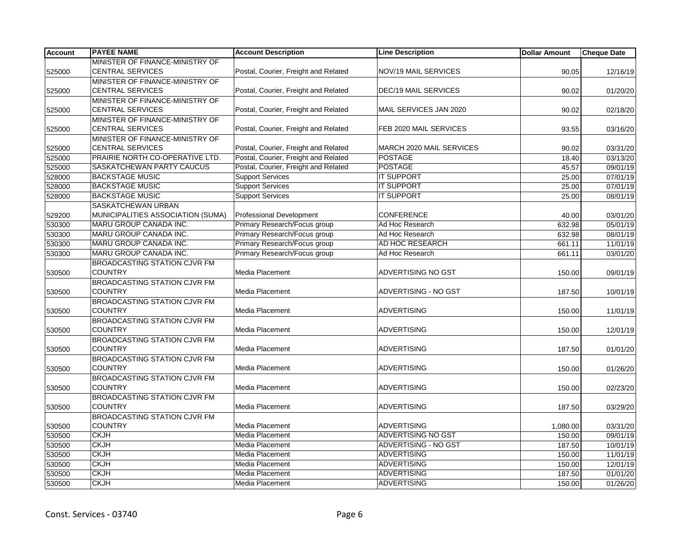| <b>Account</b> | <b>PAYEE NAME</b>                   | <b>Account Description</b>           | <b>Line Description</b>     | <b>Dollar Amount</b> | Cheque Date |
|----------------|-------------------------------------|--------------------------------------|-----------------------------|----------------------|-------------|
|                | MINISTER OF FINANCE-MINISTRY OF     |                                      |                             |                      |             |
| 525000         | <b>CENTRAL SERVICES</b>             | Postal, Courier, Freight and Related | <b>NOV/19 MAIL SERVICES</b> | 90.05                | 12/16/19    |
|                | MINISTER OF FINANCE-MINISTRY OF     |                                      |                             |                      |             |
| 525000         | <b>CENTRAL SERVICES</b>             | Postal, Courier, Freight and Related | <b>DEC/19 MAIL SERVICES</b> | 90.02                | 01/20/20    |
|                | MINISTER OF FINANCE-MINISTRY OF     |                                      |                             |                      |             |
| 525000         | <b>CENTRAL SERVICES</b>             | Postal, Courier, Freight and Related | MAIL SERVICES JAN 2020      | 90.02                | 02/18/20    |
|                | MINISTER OF FINANCE-MINISTRY OF     |                                      |                             |                      |             |
| 525000         | <b>CENTRAL SERVICES</b>             | Postal, Courier, Freight and Related | FEB 2020 MAIL SERVICES      | 93.55                | 03/16/20    |
|                | MINISTER OF FINANCE-MINISTRY OF     |                                      |                             |                      |             |
| 525000         | <b>CENTRAL SERVICES</b>             | Postal, Courier, Freight and Related | MARCH 2020 MAIL SERVICES    | 90.02                | 03/31/20    |
| 525000         | PRAIRIE NORTH CO-OPERATIVE LTD.     | Postal, Courier, Freight and Related | <b>POSTAGE</b>              | 18.40                | 03/13/20    |
| 525000         | SASKATCHEWAN PARTY CAUCUS           | Postal, Courier, Freight and Related | <b>POSTAGE</b>              | 45.57                | 09/01/19    |
| 528000         | <b>BACKSTAGE MUSIC</b>              | <b>Support Services</b>              | <b>IT SUPPORT</b>           | 25.00                | 07/01/19    |
| 528000         | <b>BACKSTAGE MUSIC</b>              | <b>Support Services</b>              | <b>IT SUPPORT</b>           | 25.00                | 07/01/19    |
| 528000         | <b>BACKSTAGE MUSIC</b>              | <b>Support Services</b>              | <b>IT SUPPORT</b>           | 25.00                | 08/01/19    |
|                | <b>SASKATCHEWAN URBAN</b>           |                                      |                             |                      |             |
| 529200         | MUNICIPALITIES ASSOCIATION (SUMA)   | <b>Professional Development</b>      | <b>CONFERENCE</b>           | 40.00                | 03/01/20    |
| 530300         | MARU GROUP CANADA INC.              | Primary Research/Focus group         | Ad Hoc Research             | 632.98               | 05/01/19    |
| 530300         | MARU GROUP CANADA INC.              | Primary Research/Focus group         | Ad Hoc Research             | 632.98               | 08/01/19    |
| 530300         | MARU GROUP CANADA INC.              | Primary Research/Focus group         | AD HOC RESEARCH             | 661.11               | 11/01/19    |
| 530300         | MARU GROUP CANADA INC.              | Primary Research/Focus group         | Ad Hoc Research             | 661.11               | 03/01/20    |
|                | <b>BROADCASTING STATION CJVR FM</b> |                                      |                             |                      |             |
| 530500         | <b>COUNTRY</b>                      | <b>Media Placement</b>               | ADVERTISING NO GST          | 150.00               | 09/01/19    |
|                | <b>BROADCASTING STATION CJVR FM</b> |                                      |                             |                      |             |
| 530500         | <b>COUNTRY</b>                      | Media Placement                      | ADVERTISING - NO GST        | 187.50               | 10/01/19    |
|                | <b>BROADCASTING STATION CJVR FM</b> |                                      |                             |                      |             |
| 530500         | <b>COUNTRY</b>                      | Media Placement                      | <b>ADVERTISING</b>          | 150.00               | 11/01/19    |
|                | <b>BROADCASTING STATION CJVR FM</b> |                                      |                             |                      |             |
| 530500         | <b>COUNTRY</b>                      | Media Placement                      | <b>ADVERTISING</b>          | 150.00               | 12/01/19    |
|                | <b>BROADCASTING STATION CJVR FM</b> |                                      |                             |                      |             |
| 530500         | <b>COUNTRY</b>                      | Media Placement                      | <b>ADVERTISING</b>          | 187.50               | 01/01/20    |
|                | <b>BROADCASTING STATION CJVR FM</b> |                                      |                             |                      |             |
| 530500         | <b>COUNTRY</b>                      | Media Placement                      | <b>ADVERTISING</b>          | 150.00               | 01/26/20    |
|                | <b>BROADCASTING STATION CJVR FM</b> |                                      |                             |                      |             |
| 530500         | <b>COUNTRY</b>                      | Media Placement                      | <b>ADVERTISING</b>          | 150.00               | 02/23/20    |
|                | <b>BROADCASTING STATION CJVR FM</b> |                                      |                             |                      |             |
| 530500         | <b>COUNTRY</b>                      | Media Placement                      | <b>ADVERTISING</b>          | 187.50               | 03/29/20    |
|                | <b>BROADCASTING STATION CJVR FM</b> |                                      |                             |                      |             |
| 530500         | <b>COUNTRY</b>                      | Media Placement                      | <b>ADVERTISING</b>          | 1,080.00             | 03/31/20    |
| 530500         | <b>CKJH</b>                         | <b>Media Placement</b>               | <b>ADVERTISING NO GST</b>   | 150.00               | 09/01/19    |
| 530500         | <b>CKJH</b>                         | Media Placement                      | <b>ADVERTISING - NO GST</b> | 187.50               | 10/01/19    |
| 530500         | <b>CKJH</b>                         | <b>Media Placement</b>               | <b>ADVERTISING</b>          | 150.00               | 11/01/19    |
| 530500         | <b>CKJH</b>                         | Media Placement                      | <b>ADVERTISING</b>          | 150.00               | 12/01/19    |
| 530500         | <b>CKJH</b>                         | <b>Media Placement</b>               | <b>ADVERTISING</b>          | 187.50               | 01/01/20    |
| 530500         | <b>CKJH</b>                         | Media Placement                      | <b>ADVERTISING</b>          | 150.00               | 01/26/20    |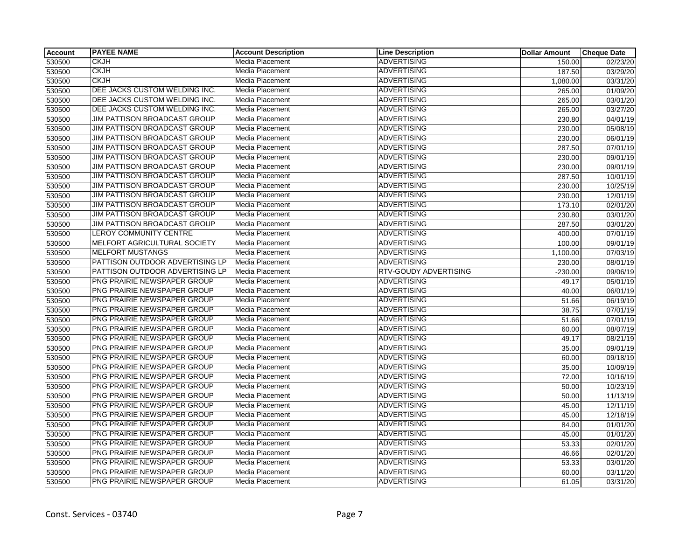| Account | <b>PAYEE NAME</b>                   | <b>Account Description</b> | <b>Line Description</b>      | <b>Dollar Amount</b> | <b>Cheque Date</b> |
|---------|-------------------------------------|----------------------------|------------------------------|----------------------|--------------------|
| 530500  | <b>CKJH</b>                         | Media Placement            | <b>ADVERTISING</b>           | 150.00               | 02/23/20           |
| 530500  | <b>CKJH</b>                         | Media Placement            | <b>ADVERTISING</b>           | 187.50               | 03/29/20           |
| 530500  | <b>CKJH</b>                         | Media Placement            | <b>ADVERTISING</b>           | 1,080.00             | 03/31/20           |
| 530500  | DEE JACKS CUSTOM WELDING INC.       | Media Placement            | <b>ADVERTISING</b>           | 265.00               | 01/09/20           |
| 530500  | DEE JACKS CUSTOM WELDING INC.       | Media Placement            | <b>ADVERTISING</b>           | 265.00               | 03/01/20           |
| 530500  | DEE JACKS CUSTOM WELDING INC.       | Media Placement            | <b>ADVERTISING</b>           | 265.00               | 03/27/20           |
| 530500  | JIM PATTISON BROADCAST GROUP        | Media Placement            | <b>ADVERTISING</b>           | 230.80               | 04/01/19           |
| 530500  | JIM PATTISON BROADCAST GROUP        | Media Placement            | <b>ADVERTISING</b>           | 230.00               | 05/08/19           |
| 530500  | JIM PATTISON BROADCAST GROUP        | Media Placement            | <b>ADVERTISING</b>           | 230.00               | 06/01/19           |
| 530500  | JIM PATTISON BROADCAST GROUP        | Media Placement            | <b>ADVERTISING</b>           | 287.50               | 07/01/19           |
| 530500  | JIM PATTISON BROADCAST GROUP        | Media Placement            | <b>ADVERTISING</b>           | 230.00               | 09/01/19           |
| 530500  | <b>JIM PATTISON BROADCAST GROUP</b> | Media Placement            | <b>ADVERTISING</b>           | 230.00               | 09/01/19           |
| 530500  | JIM PATTISON BROADCAST GROUP        | Media Placement            | <b>ADVERTISING</b>           | 287.50               | 10/01/19           |
| 530500  | JIM PATTISON BROADCAST GROUP        | Media Placement            | <b>ADVERTISING</b>           | 230.00               | 10/25/19           |
| 530500  | JIM PATTISON BROADCAST GROUP        | Media Placement            | <b>ADVERTISING</b>           | 230.00               | 12/01/19           |
| 530500  | JIM PATTISON BROADCAST GROUP        | Media Placement            | <b>ADVERTISING</b>           | 173.10               | 02/01/20           |
| 530500  | JIM PATTISON BROADCAST GROUP        | Media Placement            | <b>ADVERTISING</b>           | 230.80               | 03/01/20           |
| 530500  | JIM PATTISON BROADCAST GROUP        | Media Placement            | <b>ADVERTISING</b>           | 287.50               | 03/01/20           |
| 530500  | <b>LEROY COMMUNITY CENTRE</b>       | Media Placement            | <b>ADVERTISING</b>           | 400.00               | 07/01/19           |
| 530500  | MELFORT AGRICULTURAL SOCIETY        | Media Placement            | <b>ADVERTISING</b>           | 100.00               | 09/01/19           |
| 530500  | <b>MELFORT MUSTANGS</b>             | Media Placement            | <b>ADVERTISING</b>           | 1,100.00             | 07/03/19           |
| 530500  | PATTISON OUTDOOR ADVERTISING LP     | Media Placement            | <b>ADVERTISING</b>           | 230.00               | 08/01/19           |
| 530500  | PATTISON OUTDOOR ADVERTISING LP     | Media Placement            | <b>RTV-GOUDY ADVERTISING</b> | $-230.00$            | 09/06/19           |
| 530500  | PNG PRAIRIE NEWSPAPER GROUP         | Media Placement            | <b>ADVERTISING</b>           | 49.17                | 05/01/19           |
| 530500  | PNG PRAIRIE NEWSPAPER GROUP         | Media Placement            | <b>ADVERTISING</b>           | 40.00                | 06/01/19           |
| 530500  | PNG PRAIRIE NEWSPAPER GROUP         | Media Placement            | <b>ADVERTISING</b>           | 51.66                | 06/19/19           |
| 530500  | PNG PRAIRIE NEWSPAPER GROUP         | Media Placement            | <b>ADVERTISING</b>           | 38.75                | 07/01/19           |
| 530500  | PNG PRAIRIE NEWSPAPER GROUP         | Media Placement            | <b>ADVERTISING</b>           | 51.66                | 07/01/19           |
| 530500  | PNG PRAIRIE NEWSPAPER GROUP         | Media Placement            | <b>ADVERTISING</b>           | 60.00                | 08/07/19           |
| 530500  | PNG PRAIRIE NEWSPAPER GROUP         | Media Placement            | <b>ADVERTISING</b>           | 49.17                | 08/21/19           |
| 530500  | PNG PRAIRIE NEWSPAPER GROUP         | Media Placement            | <b>ADVERTISING</b>           | 35.00                | 09/01/19           |
| 530500  | PNG PRAIRIE NEWSPAPER GROUP         | Media Placement            | <b>ADVERTISING</b>           | 60.00                | 09/18/19           |
| 530500  | PNG PRAIRIE NEWSPAPER GROUP         | Media Placement            | <b>ADVERTISING</b>           | 35.00                | 10/09/19           |
| 530500  | PNG PRAIRIE NEWSPAPER GROUP         | Media Placement            | <b>ADVERTISING</b>           | 72.00                | 10/16/19           |
| 530500  | PNG PRAIRIE NEWSPAPER GROUP         | Media Placement            | <b>ADVERTISING</b>           | 50.00                | 10/23/19           |
| 530500  | PNG PRAIRIE NEWSPAPER GROUP         | Media Placement            | <b>ADVERTISING</b>           | 50.00                | 11/13/19           |
| 530500  | PNG PRAIRIE NEWSPAPER GROUP         | Media Placement            | <b>ADVERTISING</b>           | 45.00                | 12/11/19           |
| 530500  | PNG PRAIRIE NEWSPAPER GROUP         | Media Placement            | <b>ADVERTISING</b>           | 45.00                | 12/18/19           |
| 530500  | PNG PRAIRIE NEWSPAPER GROUP         | Media Placement            | <b>ADVERTISING</b>           | 84.00                | 01/01/20           |
| 530500  | PNG PRAIRIE NEWSPAPER GROUP         | Media Placement            | <b>ADVERTISING</b>           | 45.00                | 01/01/20           |
| 530500  | PNG PRAIRIE NEWSPAPER GROUP         | Media Placement            | <b>ADVERTISING</b>           | 53.33                | 02/01/20           |
| 530500  | PNG PRAIRIE NEWSPAPER GROUP         | Media Placement            | <b>ADVERTISING</b>           | 46.66                | 02/01/20           |
| 530500  | PNG PRAIRIE NEWSPAPER GROUP         | Media Placement            | <b>ADVERTISING</b>           | 53.33                | 03/01/20           |
| 530500  | PNG PRAIRIE NEWSPAPER GROUP         | Media Placement            | <b>ADVERTISING</b>           | 60.00                | 03/11/20           |
| 530500  | PNG PRAIRIE NEWSPAPER GROUP         | Media Placement            | <b>ADVERTISING</b>           | 61.05                | 03/31/20           |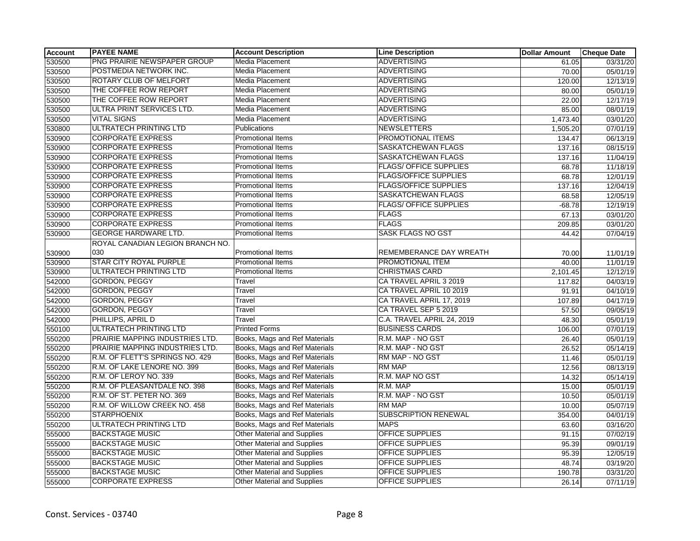| <b>Account</b> | <b>PAYEE NAME</b>                | <b>Account Description</b>         | <b>Line Description</b>       | <b>Dollar Amount</b> | <b>Cheque Date</b> |
|----------------|----------------------------------|------------------------------------|-------------------------------|----------------------|--------------------|
| 530500         | PNG PRAIRIE NEWSPAPER GROUP      | Media Placement                    | <b>ADVERTISING</b>            | 61.05                | 03/31/20           |
| 530500         | POSTMEDIA NETWORK INC.           | Media Placement                    | <b>ADVERTISING</b>            | 70.00                | 05/01/19           |
| 530500         | <b>ROTARY CLUB OF MELFORT</b>    | Media Placement                    | <b>ADVERTISING</b>            | 120.00               | 12/13/19           |
| 530500         | THE COFFEE ROW REPORT            | Media Placement                    | <b>ADVERTISING</b>            | 80.00                | 05/01/19           |
| 530500         | THE COFFEE ROW REPORT            | Media Placement                    | <b>ADVERTISING</b>            | 22.00                | 12/17/19           |
| 530500         | ULTRA PRINT SERVICES LTD.        | Media Placement                    | <b>ADVERTISING</b>            | 85.00                | 08/01/19           |
| 530500         | <b>VITAL SIGNS</b>               | Media Placement                    | <b>ADVERTISING</b>            | 1,473.40             | 03/01/20           |
| 530800         | <b>ULTRATECH PRINTING LTD</b>    | Publications                       | <b>NEWSLETTERS</b>            | 1,505.20             | 07/01/19           |
| 530900         | <b>CORPORATE EXPRESS</b>         | Promotional Items                  | PROMOTIONAL ITEMS             | 134.47               | 06/13/19           |
| 530900         | <b>CORPORATE EXPRESS</b>         | Promotional Items                  | SASKATCHEWAN FLAGS            | 137.16               | 08/15/19           |
| 530900         | <b>CORPORATE EXPRESS</b>         | Promotional Items                  | SASKATCHEWAN FLAGS            | 137.16               | 11/04/19           |
| 530900         | <b>CORPORATE EXPRESS</b>         | <b>Promotional Items</b>           | <b>FLAGS/ OFFICE SUPPLIES</b> | 68.78                | 11/18/19           |
| 530900         | <b>CORPORATE EXPRESS</b>         | Promotional Items                  | <b>FLAGS/OFFICE SUPPLIES</b>  | 68.78                | 12/01/19           |
| 530900         | <b>CORPORATE EXPRESS</b>         | Promotional Items                  | <b>FLAGS/OFFICE SUPPLIES</b>  | 137.16               | 12/04/19           |
| 530900         | <b>CORPORATE EXPRESS</b>         | Promotional Items                  | <b>SASKATCHEWAN FLAGS</b>     | 68.58                | 12/05/19           |
| 530900         | <b>CORPORATE EXPRESS</b>         | <b>Promotional Items</b>           | <b>FLAGS/ OFFICE SUPPLIES</b> | $-68.78$             | 12/19/19           |
| 530900         | <b>CORPORATE EXPRESS</b>         | <b>Promotional Items</b>           | <b>FLAGS</b>                  | 67.13                | 03/01/20           |
| 530900         | <b>CORPORATE EXPRESS</b>         | Promotional Items                  | <b>FLAGS</b>                  | 209.85               | 03/01/20           |
| 530900         | <b>GEORGE HARDWARE LTD.</b>      | Promotional Items                  | <b>SASK FLAGS NO GST</b>      | 44.42                | 07/04/19           |
|                | ROYAL CANADIAN LEGION BRANCH NO. |                                    |                               |                      |                    |
| 530900         | 030                              | <b>Promotional Items</b>           | REMEMBERANCE DAY WREATH       | 70.00                | 11/01/19           |
| 530900         | <b>STAR CITY ROYAL PURPLE</b>    | <b>Promotional Items</b>           | <b>PROMOTIONAL ITEM</b>       | 40.00                | 11/01/19           |
| 530900         | ULTRATECH PRINTING LTD           | <b>Promotional Items</b>           | <b>CHRISTMAS CARD</b>         | 2,101.45             | 12/12/19           |
| 542000         | <b>GORDON, PEGGY</b>             | Travel                             | CA TRAVEL APRIL 3 2019        | 117.82               | 04/03/19           |
| 542000         | GORDON, PEGGY                    | Travel                             | CA TRAVEL APRIL 10 2019       | 91.91                | 04/10/19           |
| 542000         | <b>GORDON, PEGGY</b>             | Travel                             | CA TRAVEL APRIL 17, 2019      | 107.89               | 04/17/19           |
| 542000         | <b>GORDON, PEGGY</b>             | Travel                             | CA TRAVEL SEP 5 2019          | 57.50                | 09/05/19           |
| 542000         | PHILLIPS, APRIL D                | Travel                             | C.A. TRAVEL APRIL 24, 2019    | 48.30                | 05/01/19           |
| 550100         | ULTRATECH PRINTING LTD           | <b>Printed Forms</b>               | <b>BUSINESS CARDS</b>         | 106.00               | 07/01/19           |
| 550200         | PRAIRIE MAPPING INDUSTRIES LTD.  | Books, Mags and Ref Materials      | R.M. MAP - NO GST             | 26.40                | 05/01/19           |
| 550200         | PRAIRIE MAPPING INDUSTRIES LTD.  | Books, Mags and Ref Materials      | R.M. MAP - NO GST             | 26.52                | 05/14/19           |
| 550200         | R.M. OF FLETT'S SPRINGS NO. 429  | Books, Mags and Ref Materials      | RM MAP - NO GST               | 11.46                | 05/01/19           |
| 550200         | R.M. OF LAKE LENORE NO. 399      | Books, Mags and Ref Materials      | <b>RM MAP</b>                 | 12.56                | 08/13/19           |
| 550200         | R.M. OF LEROY NO. 339            | Books, Mags and Ref Materials      | R.M. MAP NO GST               | 14.32                | 05/14/19           |
| 550200         | R.M. OF PLEASANTDALE NO. 398     | Books, Mags and Ref Materials      | R.M. MAP                      | 15.00                | 05/01/19           |
| 550200         | R.M. OF ST. PETER NO. 369        | Books, Mags and Ref Materials      | R.M. MAP - NO GST             | 10.50                | 05/01/19           |
| 550200         | R.M. OF WILLOW CREEK NO. 458     | Books, Mags and Ref Materials      | <b>RM MAP</b>                 | 10.00                | 05/07/19           |
| 550200         | <b>STARPHOENIX</b>               | Books, Mags and Ref Materials      | <b>SUBSCRIPTION RENEWAL</b>   | 354.00               | 04/01/19           |
| 550200         | ULTRATECH PRINTING LTD           | Books, Mags and Ref Materials      | <b>MAPS</b>                   | 63.60                | 03/16/20           |
| 555000         | <b>BACKSTAGE MUSIC</b>           | <b>Other Material and Supplies</b> | <b>OFFICE SUPPLIES</b>        | 91.15                | 07/02/19           |
| 555000         | <b>BACKSTAGE MUSIC</b>           | <b>Other Material and Supplies</b> | <b>OFFICE SUPPLIES</b>        | 95.39                | 09/01/19           |
| 555000         | <b>BACKSTAGE MUSIC</b>           | <b>Other Material and Supplies</b> | <b>OFFICE SUPPLIES</b>        | 95.39                | 12/05/19           |
| 555000         | <b>BACKSTAGE MUSIC</b>           | <b>Other Material and Supplies</b> | OFFICE SUPPLIES               | 48.74                | 03/19/20           |
| 555000         | <b>BACKSTAGE MUSIC</b>           | <b>Other Material and Supplies</b> | OFFICE SUPPLIES               | 190.78               | 03/31/20           |
| 555000         | <b>CORPORATE EXPRESS</b>         | <b>Other Material and Supplies</b> | <b>OFFICE SUPPLIES</b>        | 26.14                | 07/11/19           |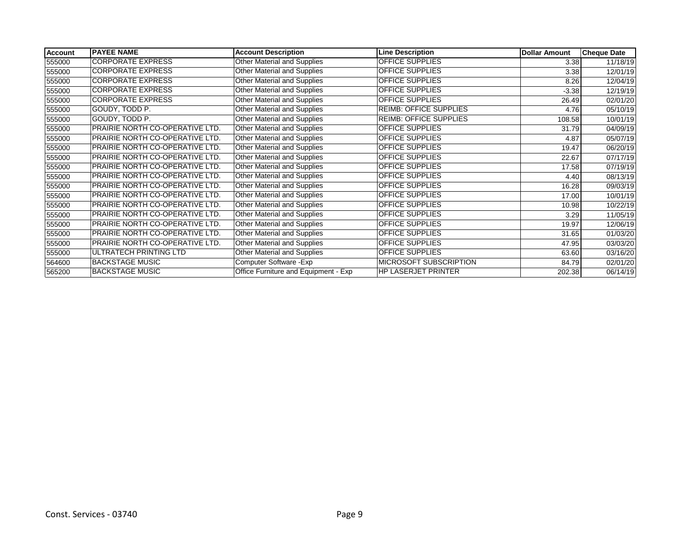| <b>Account</b> | <b>PAYEE NAME</b>                      | <b>Account Description</b>           | <b>Line Description</b>       | <b>Dollar Amount</b> | <b>Cheque Date</b> |
|----------------|----------------------------------------|--------------------------------------|-------------------------------|----------------------|--------------------|
| 555000         | <b>CORPORATE EXPRESS</b>               | <b>Other Material and Supplies</b>   | <b>OFFICE SUPPLIES</b>        | 3.38                 | 11/18/19           |
| 555000         | <b>CORPORATE EXPRESS</b>               | Other Material and Supplies          | OFFICE SUPPLIES               | 3.38                 | 12/01/19           |
| 555000         | <b>CORPORATE EXPRESS</b>               | Other Material and Supplies          | <b>OFFICE SUPPLIES</b>        | 8.26                 | 12/04/19           |
| 555000         | <b>CORPORATE EXPRESS</b>               | Other Material and Supplies          | <b>OFFICE SUPPLIES</b>        | $-3.38$              | 12/19/19           |
| 555000         | <b>CORPORATE EXPRESS</b>               | Other Material and Supplies          | OFFICE SUPPLIES               | 26.49                | 02/01/20           |
| 555000         | GOUDY, TODD P.                         | Other Material and Supplies          | <b>REIMB: OFFICE SUPPLIES</b> | 4.76                 | 05/10/19           |
| 555000         | GOUDY, TODD P.                         | Other Material and Supplies          | <b>REIMB: OFFICE SUPPLIES</b> | 108.58               | 10/01/19           |
| 555000         | PRAIRIE NORTH CO-OPERATIVE LTD.        | Other Material and Supplies          | OFFICE SUPPLIES               | 31.79                | 04/09/19           |
| 555000         | <b>PRAIRIE NORTH CO-OPERATIVE LTD.</b> | Other Material and Supplies          | <b>OFFICE SUPPLIES</b>        | 4.87                 | 05/07/19           |
| 555000         | PRAIRIE NORTH CO-OPERATIVE LTD.        | Other Material and Supplies          | OFFICE SUPPLIES               | 19.47                | 06/20/19           |
| 555000         | <b>PRAIRIE NORTH CO-OPERATIVE LTD.</b> | Other Material and Supplies          | OFFICE SUPPLIES               | 22.67                | 07/17/19           |
| 555000         | PRAIRIE NORTH CO-OPERATIVE LTD.        | Other Material and Supplies          | <b>OFFICE SUPPLIES</b>        | 17.58                | 07/19/19           |
| 555000         | PRAIRIE NORTH CO-OPERATIVE LTD.        | Other Material and Supplies          | <b>OFFICE SUPPLIES</b>        | 4.40                 | 08/13/19           |
| 555000         | PRAIRIE NORTH CO-OPERATIVE LTD.        | Other Material and Supplies          | <b>OFFICE SUPPLIES</b>        | 16.28                | 09/03/19           |
| 555000         | PRAIRIE NORTH CO-OPERATIVE LTD.        | Other Material and Supplies          | <b>OFFICE SUPPLIES</b>        | 17.00                | 10/01/19           |
| 555000         | <b>PRAIRIE NORTH CO-OPERATIVE LTD.</b> | Other Material and Supplies          | <b>OFFICE SUPPLIES</b>        | 10.98                | 10/22/19           |
| 555000         | PRAIRIE NORTH CO-OPERATIVE LTD.        | Other Material and Supplies          | OFFICE SUPPLIES               | 3.29                 | 11/05/19           |
| 555000         | PRAIRIE NORTH CO-OPERATIVE LTD.        | Other Material and Supplies          | OFFICE SUPPLIES               | 19.97                | 12/06/19           |
| 555000         | PRAIRIE NORTH CO-OPERATIVE LTD.        | Other Material and Supplies          | <b>OFFICE SUPPLIES</b>        | 31.65                | 01/03/20           |
| 555000         | PRAIRIE NORTH CO-OPERATIVE LTD.        | Other Material and Supplies          | <b>OFFICE SUPPLIES</b>        | 47.95                | 03/03/20           |
| 555000         | ULTRATECH PRINTING LTD                 | Other Material and Supplies          | OFFICE SUPPLIES               | 63.60                | 03/16/20           |
| 564600         | <b>BACKSTAGE MUSIC</b>                 | Computer Software - Exp              | MICROSOFT SUBSCRIPTION        | 84.79                | 02/01/20           |
| 565200         | <b>BACKSTAGE MUSIC</b>                 | Office Furniture and Equipment - Exp | HP LASERJET PRINTER           | 202.38               | 06/14/19           |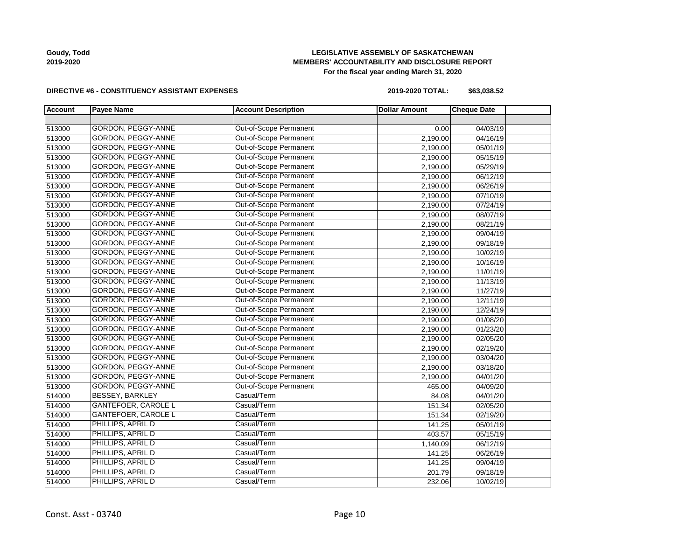**Goudy, Todd 2019-2020**

## **LEGISLATIVE ASSEMBLY OF SASKATCHEWAN MEMBERS' ACCOUNTABILITY AND DISCLOSURE REPORT For the fiscal year ending March 31, 2020**

#### **DIRECTIVE #6 - CONSTITUENCY ASSISTANT EXPENSES**

**2019-2020 TOTAL: \$63,038.52**

| <b>Account</b> | <b>Payee Name</b>          | <b>Account Description</b>    | <b>Dollar Amount</b> | <b>Cheque Date</b> |  |
|----------------|----------------------------|-------------------------------|----------------------|--------------------|--|
|                |                            |                               |                      |                    |  |
| 513000         | <b>GORDON, PEGGY-ANNE</b>  | <b>Out-of-Scope Permanent</b> | 0.00                 | 04/03/19           |  |
| 513000         | <b>GORDON, PEGGY-ANNE</b>  | Out-of-Scope Permanent        | 2,190.00             | 04/16/19           |  |
| 513000         | GORDON, PEGGY-ANNE         | Out-of-Scope Permanent        | 2,190.00             | 05/01/19           |  |
| 513000         | GORDON, PEGGY-ANNE         | Out-of-Scope Permanent        | 2,190.00             | 05/15/19           |  |
| 513000         | GORDON, PEGGY-ANNE         | Out-of-Scope Permanent        | 2,190.00             | 05/29/19           |  |
| 513000         | GORDON, PEGGY-ANNE         | Out-of-Scope Permanent        | 2,190.00             | 06/12/19           |  |
| 513000         | GORDON, PEGGY-ANNE         | Out-of-Scope Permanent        | 2,190.00             | 06/26/19           |  |
| 513000         | GORDON, PEGGY-ANNE         | Out-of-Scope Permanent        | 2,190.00             | 07/10/19           |  |
| 513000         | GORDON, PEGGY-ANNE         | Out-of-Scope Permanent        | 2,190.00             | 07/24/19           |  |
| 513000         | GORDON, PEGGY-ANNE         | Out-of-Scope Permanent        | 2,190.00             | 08/07/19           |  |
| 513000         | GORDON, PEGGY-ANNE         | Out-of-Scope Permanent        | 2,190.00             | 08/21/19           |  |
| 513000         | GORDON, PEGGY-ANNE         | Out-of-Scope Permanent        | 2,190.00             | 09/04/19           |  |
| 513000         | GORDON, PEGGY-ANNE         | Out-of-Scope Permanent        | 2,190.00             | 09/18/19           |  |
| 513000         | GORDON, PEGGY-ANNE         | Out-of-Scope Permanent        | 2,190.00             | 10/02/19           |  |
| 513000         | <b>GORDON, PEGGY-ANNE</b>  | <b>Out-of-Scope Permanent</b> | 2,190.00             | 10/16/19           |  |
| 513000         | <b>GORDON, PEGGY-ANNE</b>  | Out-of-Scope Permanent        | 2,190.00             | 11/01/19           |  |
| 513000         | GORDON, PEGGY-ANNE         | Out-of-Scope Permanent        | 2,190.00             | 11/13/19           |  |
| 513000         | <b>GORDON, PEGGY-ANNE</b>  | Out-of-Scope Permanent        | 2,190.00             | 11/27/19           |  |
| 513000         | <b>GORDON, PEGGY-ANNE</b>  | Out-of-Scope Permanent        | 2,190.00             | 12/11/19           |  |
| 513000         | <b>GORDON, PEGGY-ANNE</b>  | Out-of-Scope Permanent        | 2,190.00             | 12/24/19           |  |
| 513000         | GORDON, PEGGY-ANNE         | Out-of-Scope Permanent        | 2,190.00             | 01/08/20           |  |
| 513000         | GORDON, PEGGY-ANNE         | Out-of-Scope Permanent        | 2,190.00             | 01/23/20           |  |
| 513000         | GORDON, PEGGY-ANNE         | Out-of-Scope Permanent        | 2,190.00             | 02/05/20           |  |
| 513000         | GORDON, PEGGY-ANNE         | Out-of-Scope Permanent        | 2,190.00             | 02/19/20           |  |
| 513000         | GORDON, PEGGY-ANNE         | Out-of-Scope Permanent        | 2,190.00             | 03/04/20           |  |
| 513000         | GORDON, PEGGY-ANNE         | Out-of-Scope Permanent        | 2,190.00             | 03/18/20           |  |
| 513000         | GORDON, PEGGY-ANNE         | <b>Out-of-Scope Permanent</b> | 2,190.00             | 04/01/20           |  |
| 513000         | GORDON, PEGGY-ANNE         | Out-of-Scope Permanent        | 465.00               | 04/09/20           |  |
| 514000         | <b>BESSEY, BARKLEY</b>     | Casual/Term                   | 84.08                | 04/01/20           |  |
| 514000         | <b>GANTEFOER, CAROLE L</b> | Casual/Term                   | 151.34               | 02/05/20           |  |
| 514000         | <b>GANTEFOER, CAROLE L</b> | Casual/Term                   | 151.34               | 02/19/20           |  |
| 514000         | PHILLIPS, APRIL D          | Casual/Term                   | 141.25               | 05/01/19           |  |
| 514000         | PHILLIPS, APRIL D          | Casual/Term                   | 403.57               | 05/15/19           |  |
| 514000         | PHILLIPS, APRIL D          | Casual/Term                   | 1,140.09             | 06/12/19           |  |
| 514000         | PHILLIPS, APRIL D          | Casual/Term                   | 141.25               | 06/26/19           |  |
| 514000         | PHILLIPS, APRIL D          | Casual/Term                   | 141.25               | 09/04/19           |  |
| 514000         | PHILLIPS, APRIL D          | Casual/Term                   | 201.79               | 09/18/19           |  |
| 514000         | PHILLIPS, APRIL D          | Casual/Term                   | 232.06               | 10/02/19           |  |